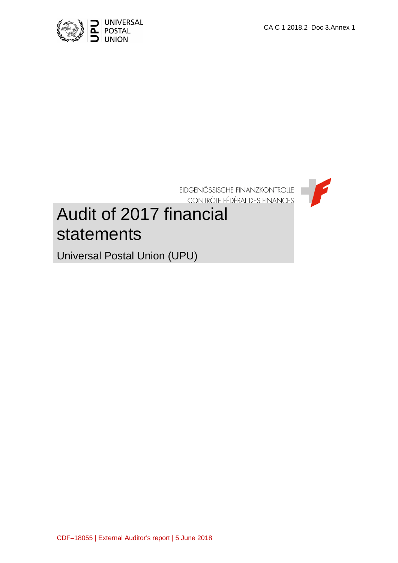

EIDGENÖSSISCHE FINANZKONTROLLE<br>CONTRÔIF FÉDÉRAL DES FINANCES



# Audit of 2017 financial statements

Universal Postal Union (UPU)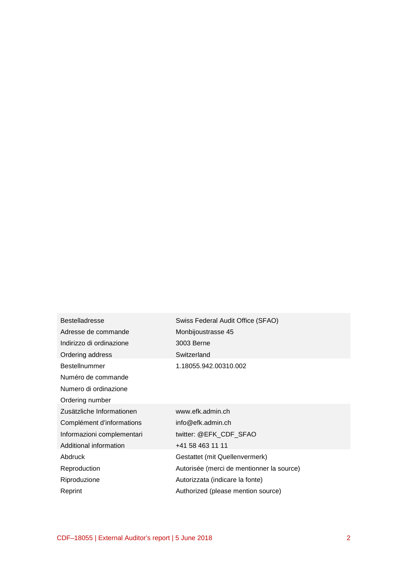| <b>Bestelladresse</b>      | Swiss Federal Audit Office (SFAO)         |
|----------------------------|-------------------------------------------|
| Adresse de commande        | Monbijoustrasse 45                        |
| Indirizzo di ordinazione   | 3003 Berne                                |
| Ordering address           | Switzerland                               |
| <b>Bestellnummer</b>       | 1.18055.942.00310.002                     |
| Numéro de commande         |                                           |
| Numero di ordinazione      |                                           |
| Ordering number            |                                           |
| Zusätzliche Informationen  | www.efk.admin.ch                          |
| Complément d'informations  | info@efk.admin.ch                         |
| Informazioni complementari | twitter: @EFK_CDF_SFAO                    |
| Additional information     | +41 58 463 11 11                          |
| Abdruck                    | Gestattet (mit Quellenvermerk)            |
| Reproduction               | Autorisée (merci de mentionner la source) |
| Riproduzione               | Autorizzata (indicare la fonte)           |
| Reprint                    | Authorized (please mention source)        |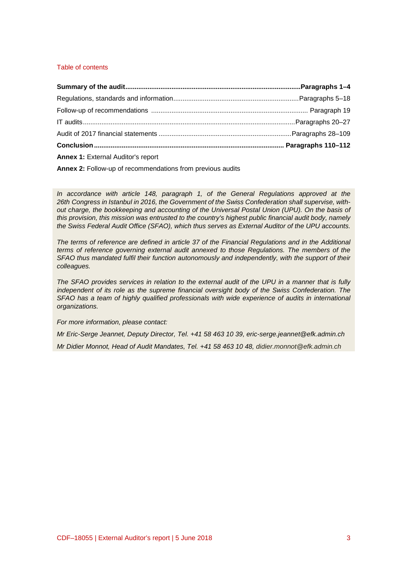# Table of contents

| <b>Annex 1: External Auditor's report</b> |  |
|-------------------------------------------|--|

**Annex 2:** Follow-up of recommendations from previous audits

*In accordance with article 148, paragraph 1, of the General Regulations approved at the 26th Congress in Istanbul in 2016, the Government of the Swiss Confederation shall supervise, without charge, the bookkeeping and accounting of the Universal Postal Union (UPU). On the basis of this provision, this mission was entrusted to the country's highest public financial audit body, namely the Swiss Federal Audit Office (SFAO), which thus serves as External Auditor of the UPU accounts.*

*The terms of reference are defined in article 37 of the Financial Regulations and in the Additional terms of reference governing external audit annexed to those Regulations. The members of the SFAO thus mandated fulfil their function autonomously and independently, with the support of their colleagues.*

*The SFAO provides services in relation to the external audit of the UPU in a manner that is fully independent of its role as the supreme financial oversight body of the Swiss Confederation. The*  SFAO has a team of highly qualified professionals with wide experience of audits in international *organizations.*

*For more information, please contact:*

*Mr Eric-Serge Jeannet, Deputy Director, Tel. +41 58 463 10 39, eric-serge.jeannet@efk.admin.ch*

*Mr Didier Monnot, Head of Audit Mandates, Tel. +41 58 463 10 48, [didier.monnot@efk.admin.ch](mailto:didier.monnot@efk.admin.ch)*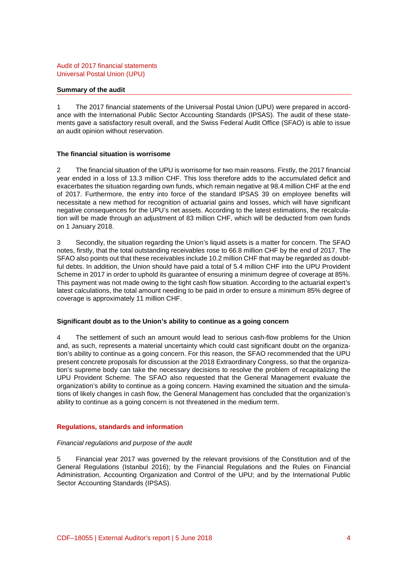## **Summary of the audit**

1 The 2017 financial statements of the Universal Postal Union (UPU) were prepared in accordance with the International Public Sector Accounting Standards (IPSAS). The audit of these statements gave a satisfactory result overall, and the Swiss Federal Audit Office (SFAO) is able to issue an audit opinion without reservation.

# **The financial situation is worrisome**

2 The financial situation of the UPU is worrisome for two main reasons. Firstly, the 2017 financial year ended in a loss of 13.3 million CHF. This loss therefore adds to the accumulated deficit and exacerbates the situation regarding own funds, which remain negative at 98.4 million CHF at the end of 2017. Furthermore, the entry into force of the standard IPSAS 39 on employee benefits will necessitate a new method for recognition of actuarial gains and losses, which will have significant negative consequences for the UPU's net assets. According to the latest estimations, the recalculation will be made through an adjustment of 83 million CHF, which will be deducted from own funds on 1 January 2018.

3 Secondly, the situation regarding the Union's liquid assets is a matter for concern. The SFAO notes, firstly, that the total outstanding receivables rose to 66.8 million CHF by the end of 2017. The SFAO also points out that these receivables include 10.2 million CHF that may be regarded as doubtful debts. In addition, the Union should have paid a total of 5.4 million CHF into the UPU Provident Scheme in 2017 in order to uphold its guarantee of ensuring a minimum degree of coverage at 85%. This payment was not made owing to the tight cash flow situation. According to the actuarial expert's latest calculations, the total amount needing to be paid in order to ensure a minimum 85% degree of coverage is approximately 11 million CHF.

# **Significant doubt as to the Union's ability to continue as a going concern**

4 The settlement of such an amount would lead to serious cash-flow problems for the Union and, as such, represents a material uncertainty which could cast significant doubt on the organization's ability to continue as a going concern. For this reason, the SFAO recommended that the UPU present concrete proposals for discussion at the 2018 Extraordinary Congress, so that the organization's supreme body can take the necessary decisions to resolve the problem of recapitalizing the UPU Provident Scheme. The SFAO also requested that the General Management evaluate the organization's ability to continue as a going concern. Having examined the situation and the simulations of likely changes in cash flow, the General Management has concluded that the organization's ability to continue as a going concern is not threatened in the medium term.

# **Regulations, standards and information**

### *Financial regulations and purpose of the audit*

5 Financial year 2017 was governed by the relevant provisions of the Constitution and of the General Regulations (Istanbul 2016); by the Financial Regulations and the Rules on Financial Administration, Accounting Organization and Control of the UPU; and by the International Public Sector Accounting Standards (IPSAS).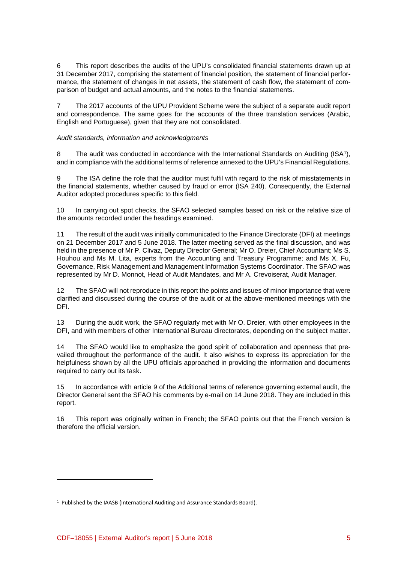6 This report describes the audits of the UPU's consolidated financial statements drawn up at 31 December 2017, comprising the statement of financial position, the statement of financial performance, the statement of changes in net assets, the statement of cash flow, the statement of comparison of budget and actual amounts, and the notes to the financial statements.

7 The 2017 accounts of the UPU Provident Scheme were the subject of a separate audit report and correspondence. The same goes for the accounts of the three translation services (Arabic, English and Portuguese), given that they are not consolidated.

# *Audit standards, information and acknowledgments*

8 The audit was conducted in accordance with the International Standards on Auditing (ISA[1](#page-4-0)), and in compliance with the additional terms of reference annexed to the UPU's Financial Regulations.

9 The ISA define the role that the auditor must fulfil with regard to the risk of misstatements in the financial statements, whether caused by fraud or error (ISA 240). Consequently, the External Auditor adopted procedures specific to this field.

10 In carrying out spot checks, the SFAO selected samples based on risk or the relative size of the amounts recorded under the headings examined.

11 The result of the audit was initially communicated to the Finance Directorate (DFI) at meetings on 21 December 2017 and 5 June 2018. The latter meeting served as the final discussion, and was held in the presence of Mr P. Clivaz, Deputy Director General; Mr O. Dreier, Chief Accountant; Ms S. Houhou and Ms M. Lita, experts from the Accounting and Treasury Programme; and Ms X. Fu, Governance, Risk Management and Management Information Systems Coordinator. The SFAO was represented by Mr D. Monnot, Head of Audit Mandates, and Mr A. Crevoiserat, Audit Manager.

12 The SFAO will not reproduce in this report the points and issues of minor importance that were clarified and discussed during the course of the audit or at the above-mentioned meetings with the DFI.

13 During the audit work, the SFAO regularly met with Mr O. Dreier, with other employees in the DFI, and with members of other International Bureau directorates, depending on the subject matter.

14 The SFAO would like to emphasize the good spirit of collaboration and openness that prevailed throughout the performance of the audit. It also wishes to express its appreciation for the helpfulness shown by all the UPU officials approached in providing the information and documents required to carry out its task.

15 In accordance with article 9 of the Additional terms of reference governing external audit, the Director General sent the SFAO his comments by e-mail on 14 June 2018. They are included in this report.

16 This report was originally written in French; the SFAO points out that the French version is therefore the official version.

1

<span id="page-4-0"></span><sup>1</sup> Published by the IAASB (International Auditing and Assurance Standards Board).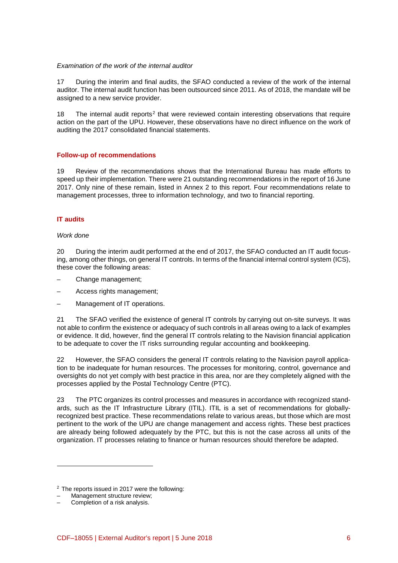# *Examination of the work of the internal auditor*

17 During the interim and final audits, the SFAO conducted a review of the work of the internal auditor. The internal audit function has been outsourced since 2011. As of 2018, the mandate will be assigned to a new service provider.

18 The internal audit reports<sup>[2](#page-5-0)</sup> that were reviewed contain interesting observations that require action on the part of the UPU. However, these observations have no direct influence on the work of auditing the 2017 consolidated financial statements.

# **Follow-up of recommendations**

19 Review of the recommendations shows that the International Bureau has made efforts to speed up their implementation. There were 21 outstanding recommendations in the report of 16 June 2017. Only nine of these remain, listed in Annex 2 to this report. Four recommendations relate to management processes, three to information technology, and two to financial reporting.

# **IT audits**

### *Work done*

20 During the interim audit performed at the end of 2017, the SFAO conducted an IT audit focusing, among other things, on general IT controls. In terms of the financial internal control system (ICS), these cover the following areas:

- Change management;
- Access rights management;
- Management of IT operations.

21 The SFAO verified the existence of general IT controls by carrying out on-site surveys. It was not able to confirm the existence or adequacy of such controls in all areas owing to a lack of examples or evidence. It did, however, find the general IT controls relating to the Navision financial application to be adequate to cover the IT risks surrounding regular accounting and bookkeeping.

22 However, the SFAO considers the general IT controls relating to the Navision payroll application to be inadequate for human resources. The processes for monitoring, control, governance and oversights do not yet comply with best practice in this area, nor are they completely aligned with the processes applied by the Postal Technology Centre (PTC).

23 The PTC organizes its control processes and measures in accordance with recognized standards, such as the IT Infrastructure Library (ITIL). ITIL is a set of recommendations for globallyrecognized best practice. These recommendations relate to various areas, but those which are most pertinent to the work of the UPU are change management and access rights. These best practices are already being followed adequately by the PTC, but this is not the case across all units of the organization. IT processes relating to finance or human resources should therefore be adapted.

**.** 

<span id="page-5-0"></span><sup>2</sup> The reports issued in 2017 were the following:

Management structure review:

<sup>–</sup> Completion of a risk analysis.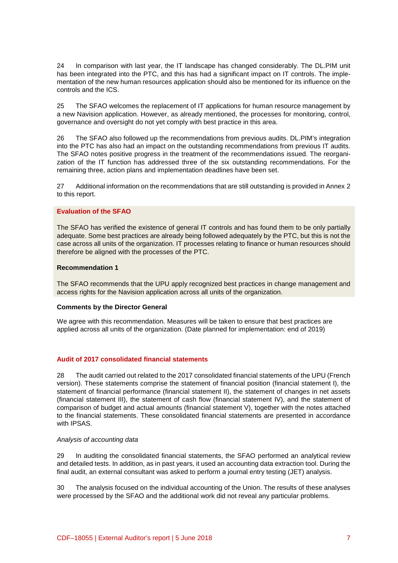24 In comparison with last year, the IT landscape has changed considerably. The DL.PIM unit has been integrated into the PTC, and this has had a significant impact on IT controls. The implementation of the new human resources application should also be mentioned for its influence on the controls and the ICS.

25 The SFAO welcomes the replacement of IT applications for human resource management by a new Navision application. However, as already mentioned, the processes for monitoring, control, governance and oversight do not yet comply with best practice in this area.

26 The SFAO also followed up the recommendations from previous audits. DL.PIM's integration into the PTC has also had an impact on the outstanding recommendations from previous IT audits. The SFAO notes positive progress in the treatment of the recommendations issued. The reorganization of the IT function has addressed three of the six outstanding recommendations. For the remaining three, action plans and implementation deadlines have been set.

27 Additional information on the recommendations that are still outstanding is provided in Annex 2 to this report.

### **Evaluation of the SFAO**

The SFAO has verified the existence of general IT controls and has found them to be only partially adequate. Some best practices are already being followed adequately by the PTC, but this is not the case across all units of the organization. IT processes relating to finance or human resources should therefore be aligned with the processes of the PTC.

# **Recommendation 1**

The SFAO recommends that the UPU apply recognized best practices in change management and access rights for the Navision application across all units of the organization.

### **Comments by the Director General**

We agree with this recommendation. Measures will be taken to ensure that best practices are applied across all units of the organization. (Date planned for implementation: end of 2019)

# **Audit of 2017 consolidated financial statements**

28 The audit carried out related to the 2017 consolidated financial statements of the UPU (French version). These statements comprise the statement of financial position (financial statement I), the statement of financial performance (financial statement II), the statement of changes in net assets (financial statement III), the statement of cash flow (financial statement IV), and the statement of comparison of budget and actual amounts (financial statement V), together with the notes attached to the financial statements. These consolidated financial statements are presented in accordance with IPSAS.

### *Analysis of accounting data*

29 In auditing the consolidated financial statements, the SFAO performed an analytical review and detailed tests. In addition, as in past years, it used an accounting data extraction tool. During the final audit, an external consultant was asked to perform a journal entry testing (JET) analysis.

30 The analysis focused on the individual accounting of the Union. The results of these analyses were processed by the SFAO and the additional work did not reveal any particular problems.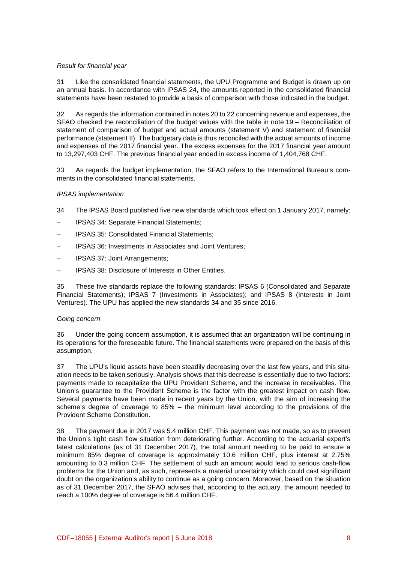# *Result for financial year*

31 Like the consolidated financial statements, the UPU Programme and Budget is drawn up on an annual basis. In accordance with IPSAS 24, the amounts reported in the consolidated financial statements have been restated to provide a basis of comparison with those indicated in the budget.

32 As regards the information contained in notes 20 to 22 concerning revenue and expenses, the SFAO checked the reconciliation of the budget values with the table in note 19 – Reconciliation of statement of comparison of budget and actual amounts (statement V) and statement of financial performance (statement II). The budgetary data is thus reconciled with the actual amounts of income and expenses of the 2017 financial year. The excess expenses for the 2017 financial year amount to 13,297,403 CHF. The previous financial year ended in excess income of 1,404,768 CHF.

33 As regards the budget implementation, the SFAO refers to the International Bureau's comments in the consolidated financial statements.

## *IPSAS implementation*

- 34 The IPSAS Board published five new standards which took effect on 1 January 2017, namely:
- IPSAS 34: Separate Financial Statements;
- IPSAS 35: Consolidated Financial Statements;
- IPSAS 36: Investments in Associates and Joint Ventures;
- IPSAS 37: Joint Arrangements;
- IPSAS 38: Disclosure of Interests in Other Entities.

35 These five standards replace the following standards: IPSAS 6 (Consolidated and Separate Financial Statements); IPSAS 7 (Investments in Associates); and IPSAS 8 (Interests in Joint Ventures). The UPU has applied the new standards 34 and 35 since 2016.

### *Going concern*

36 Under the going concern assumption, it is assumed that an organization will be continuing in its operations for the foreseeable future. The financial statements were prepared on the basis of this assumption.

37 The UPU's liquid assets have been steadily decreasing over the last few years, and this situation needs to be taken seriously. Analysis shows that this decrease is essentially due to two factors: payments made to recapitalize the UPU Provident Scheme, and the increase in receivables. The Union's guarantee to the Provident Scheme is the factor with the greatest impact on cash flow. Several payments have been made in recent years by the Union, with the aim of increasing the scheme's degree of coverage to 85% – the minimum level according to the provisions of the Provident Scheme Constitution.

38 The payment due in 2017 was 5.4 million CHF. This payment was not made, so as to prevent the Union's tight cash flow situation from deteriorating further. According to the actuarial expert's latest calculations (as of 31 December 2017), the total amount needing to be paid to ensure a minimum 85% degree of coverage is approximately 10.6 million CHF, plus interest at 2.75% amounting to 0.3 million CHF. The settlement of such an amount would lead to serious cash-flow problems for the Union and, as such, represents a material uncertainty which could cast significant doubt on the organization's ability to continue as a going concern. Moreover, based on the situation as of 31 December 2017, the SFAO advises that, according to the actuary, the amount needed to reach a 100% degree of coverage is 56.4 million CHF.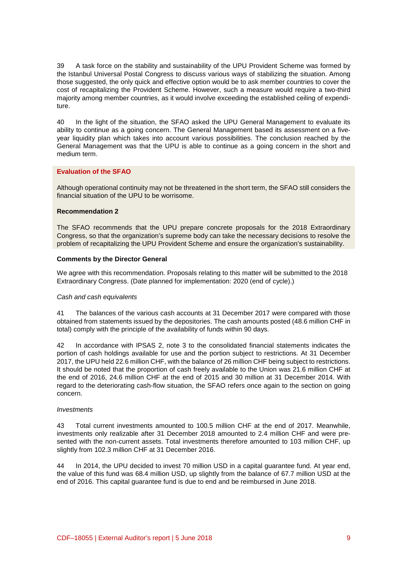39 A task force on the stability and sustainability of the UPU Provident Scheme was formed by the Istanbul Universal Postal Congress to discuss various ways of stabilizing the situation. Among those suggested, the only quick and effective option would be to ask member countries to cover the cost of recapitalizing the Provident Scheme. However, such a measure would require a two-third majority among member countries, as it would involve exceeding the established ceiling of expenditure.

40 In the light of the situation, the SFAO asked the UPU General Management to evaluate its ability to continue as a going concern. The General Management based its assessment on a fiveyear liquidity plan which takes into account various possibilities. The conclusion reached by the General Management was that the UPU is able to continue as a going concern in the short and medium term.

## **Evaluation of the SFAO**

Although operational continuity may not be threatened in the short term, the SFAO still considers the financial situation of the UPU to be worrisome.

### **Recommendation 2**

The SFAO recommends that the UPU prepare concrete proposals for the 2018 Extraordinary Congress, so that the organization's supreme body can take the necessary decisions to resolve the problem of recapitalizing the UPU Provident Scheme and ensure the organization's sustainability.

# **Comments by the Director General**

We agree with this recommendation. Proposals relating to this matter will be submitted to the 2018 Extraordinary Congress. (Date planned for implementation: 2020 (end of cycle).)

### *Cash and cash equivalents*

41 The balances of the various cash accounts at 31 December 2017 were compared with those obtained from statements issued by the depositories. The cash amounts posted (48.6 million CHF in total) comply with the principle of the availability of funds within 90 days.

42 In accordance with IPSAS 2, note 3 to the consolidated financial statements indicates the portion of cash holdings available for use and the portion subject to restrictions. At 31 December 2017, the UPU held 22.6 million CHF, with the balance of 26 million CHF being subject to restrictions. It should be noted that the proportion of cash freely available to the Union was 21.6 million CHF at the end of 2016, 24.6 million CHF at the end of 2015 and 30 million at 31 December 2014. With regard to the deteriorating cash-flow situation, the SFAO refers once again to the section on going concern.

### *Investments*

43 Total current investments amounted to 100.5 million CHF at the end of 2017. Meanwhile, investments only realizable after 31 December 2018 amounted to 2.4 million CHF and were presented with the non-current assets. Total investments therefore amounted to 103 million CHF, up slightly from 102.3 million CHF at 31 December 2016.

44 In 2014, the UPU decided to invest 70 million USD in a capital guarantee fund. At year end, the value of this fund was 68.4 million USD, up slightly from the balance of 67.7 million USD at the end of 2016. This capital guarantee fund is due to end and be reimbursed in June 2018.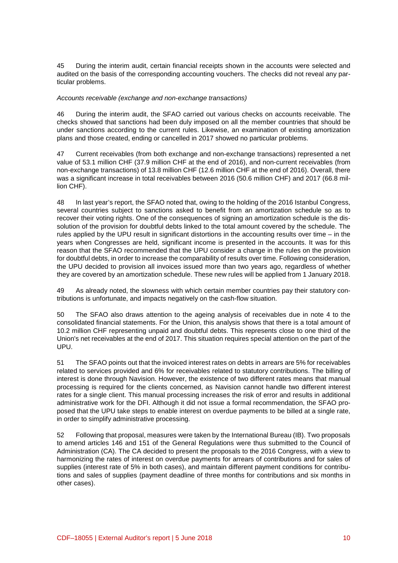45 During the interim audit, certain financial receipts shown in the accounts were selected and audited on the basis of the corresponding accounting vouchers. The checks did not reveal any particular problems.

# *Accounts receivable (exchange and non-exchange transactions)*

46 During the interim audit, the SFAO carried out various checks on accounts receivable. The checks showed that sanctions had been duly imposed on all the member countries that should be under sanctions according to the current rules. Likewise, an examination of existing amortization plans and those created, ending or cancelled in 2017 showed no particular problems.

47 Current receivables (from both exchange and non-exchange transactions) represented a net value of 53.1 million CHF (37.9 million CHF at the end of 2016), and non-current receivables (from non-exchange transactions) of 13.8 million CHF (12.6 million CHF at the end of 2016). Overall, there was a significant increase in total receivables between 2016 (50.6 million CHF) and 2017 (66.8 million CHF).

48 In last year's report, the SFAO noted that, owing to the holding of the 2016 Istanbul Congress, several countries subject to sanctions asked to benefit from an amortization schedule so as to recover their voting rights. One of the consequences of signing an amortization schedule is the dissolution of the provision for doubtful debts linked to the total amount covered by the schedule. The rules applied by the UPU result in significant distortions in the accounting results over time – in the years when Congresses are held, significant income is presented in the accounts. It was for this reason that the SFAO recommended that the UPU consider a change in the rules on the provision for doubtful debts, in order to increase the comparability of results over time. Following consideration, the UPU decided to provision all invoices issued more than two years ago, regardless of whether they are covered by an amortization schedule. These new rules will be applied from 1 January 2018.

49 As already noted, the slowness with which certain member countries pay their statutory contributions is unfortunate, and impacts negatively on the cash-flow situation.

50 The SFAO also draws attention to the ageing analysis of receivables due in note 4 to the consolidated financial statements. For the Union, this analysis shows that there is a total amount of 10.2 million CHF representing unpaid and doubtful debts. This represents close to one third of the Union's net receivables at the end of 2017. This situation requires special attention on the part of the UPU.

51 The SFAO points out that the invoiced interest rates on debts in arrears are 5% for receivables related to services provided and 6% for receivables related to statutory contributions. The billing of interest is done through Navision. However, the existence of two different rates means that manual processing is required for the clients concerned, as Navision cannot handle two different interest rates for a single client. This manual processing increases the risk of error and results in additional administrative work for the DFI. Although it did not issue a formal recommendation, the SFAO proposed that the UPU take steps to enable interest on overdue payments to be billed at a single rate, in order to simplify administrative processing.

52 Following that proposal, measures were taken by the International Bureau (IB). Two proposals to amend articles 146 and 151 of the General Regulations were thus submitted to the Council of Administration (CA). The CA decided to present the proposals to the 2016 Congress, with a view to harmonizing the rates of interest on overdue payments for arrears of contributions and for sales of supplies (interest rate of 5% in both cases), and maintain different payment conditions for contributions and sales of supplies (payment deadline of three months for contributions and six months in other cases).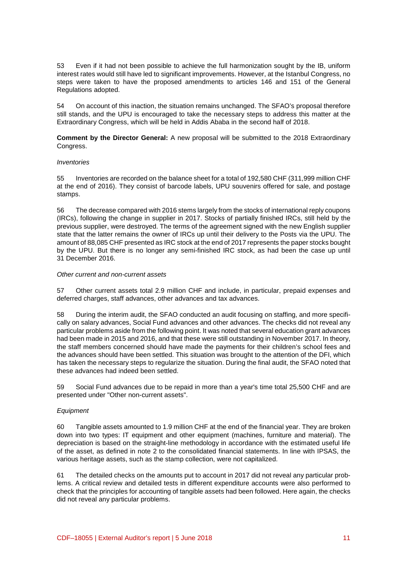53 Even if it had not been possible to achieve the full harmonization sought by the IB, uniform interest rates would still have led to significant improvements. However, at the Istanbul Congress, no steps were taken to have the proposed amendments to articles 146 and 151 of the General Regulations adopted.

54 On account of this inaction, the situation remains unchanged. The SFAO's proposal therefore still stands, and the UPU is encouraged to take the necessary steps to address this matter at the Extraordinary Congress, which will be held in Addis Ababa in the second half of 2018.

**Comment by the Director General:** A new proposal will be submitted to the 2018 Extraordinary Congress.

### *Inventories*

55 Inventories are recorded on the balance sheet for a total of 192,580 CHF (311,999 million CHF at the end of 2016). They consist of barcode labels, UPU souvenirs offered for sale, and postage stamps.

56 The decrease compared with 2016 stems largely from the stocks of international reply coupons (IRCs), following the change in supplier in 2017. Stocks of partially finished IRCs, still held by the previous supplier, were destroyed. The terms of the agreement signed with the new English supplier state that the latter remains the owner of IRCs up until their delivery to the Posts via the UPU. The amount of 88,085 CHF presented as IRC stock at the end of 2017 represents the paper stocks bought by the UPU. But there is no longer any semi-finished IRC stock, as had been the case up until 31 December 2016.

# *Other current and non-current assets*

57 Other current assets total 2.9 million CHF and include, in particular, prepaid expenses and deferred charges, staff advances, other advances and tax advances.

58 During the interim audit, the SFAO conducted an audit focusing on staffing, and more specifically on salary advances, Social Fund advances and other advances. The checks did not reveal any particular problems aside from the following point. It was noted that several education grant advances had been made in 2015 and 2016, and that these were still outstanding in November 2017. In theory, the staff members concerned should have made the payments for their children's school fees and the advances should have been settled. This situation was brought to the attention of the DFI, which has taken the necessary steps to regularize the situation. During the final audit, the SFAO noted that these advances had indeed been settled.

59 Social Fund advances due to be repaid in more than a year's time total 25,500 CHF and are presented under "Other non-current assets".

# *Equipment*

60 Tangible assets amounted to 1.9 million CHF at the end of the financial year. They are broken down into two types: IT equipment and other equipment (machines, furniture and material). The depreciation is based on the straight-line methodology in accordance with the estimated useful life of the asset, as defined in note 2 to the consolidated financial statements. In line with IPSAS, the various heritage assets, such as the stamp collection, were not capitalized.

61 The detailed checks on the amounts put to account in 2017 did not reveal any particular problems. A critical review and detailed tests in different expenditure accounts were also performed to check that the principles for accounting of tangible assets had been followed. Here again, the checks did not reveal any particular problems.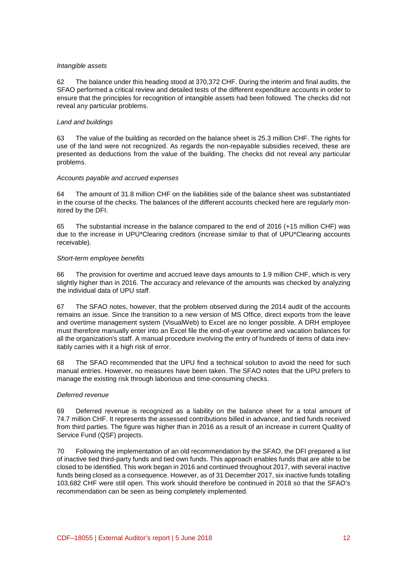# *Intangible assets*

62 The balance under this heading stood at 370,372 CHF. During the interim and final audits, the SFAO performed a critical review and detailed tests of the different expenditure accounts in order to ensure that the principles for recognition of intangible assets had been followed. The checks did not reveal any particular problems.

# *Land and buildings*

63 The value of the building as recorded on the balance sheet is 25.3 million CHF. The rights for use of the land were not recognized. As regards the non-repayable subsidies received, these are presented as deductions from the value of the building. The checks did not reveal any particular problems.

# *Accounts payable and accrued expenses*

64 The amount of 31.8 million CHF on the liabilities side of the balance sheet was substantiated in the course of the checks. The balances of the different accounts checked here are regularly monitored by the DFI.

65 The substantial increase in the balance compared to the end of 2016 (+15 million CHF) was due to the increase in UPU\*Clearing creditors (increase similar to that of UPU\*Clearing accounts receivable).

# *Short-term employee benefits*

66 The provision for overtime and accrued leave days amounts to 1.9 million CHF, which is very slightly higher than in 2016. The accuracy and relevance of the amounts was checked by analyzing the individual data of UPU staff.

67 The SFAO notes, however, that the problem observed during the 2014 audit of the accounts remains an issue. Since the transition to a new version of MS Office, direct exports from the leave and overtime management system (VisualWeb) to Excel are no longer possible. A DRH employee must therefore manually enter into an Excel file the end-of-year overtime and vacation balances for all the organization's staff. A manual procedure involving the entry of hundreds of items of data inevitably carries with it a high risk of error.

68 The SFAO recommended that the UPU find a technical solution to avoid the need for such manual entries. However, no measures have been taken. The SFAO notes that the UPU prefers to manage the existing risk through laborious and time-consuming checks.

# *Deferred revenue*

69 Deferred revenue is recognized as a liability on the balance sheet for a total amount of 74.7 million CHF. It represents the assessed contributions billed in advance, and tied funds received from third parties. The figure was higher than in 2016 as a result of an increase in current Quality of Service Fund (QSF) projects.

70 Following the implementation of an old recommendation by the SFAO, the DFI prepared a list of inactive tied third-party funds and tied own funds. This approach enables funds that are able to be closed to be identified. This work began in 2016 and continued throughout 2017, with several inactive funds being closed as a consequence. However, as of 31 December 2017, six inactive funds totalling 103,682 CHF were still open. This work should therefore be continued in 2018 so that the SFAO's recommendation can be seen as being completely implemented.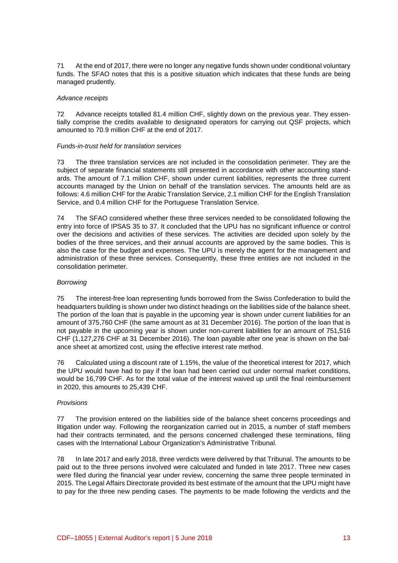71 At the end of 2017, there were no longer any negative funds shown under conditional voluntary funds. The SFAO notes that this is a positive situation which indicates that these funds are being managed prudently.

## *Advance receipts*

72 Advance receipts totalled 81.4 million CHF, slightly down on the previous year. They essentially comprise the credits available to designated operators for carrying out QSF projects, which amounted to 70.9 million CHF at the end of 2017.

# *Funds-in-trust held for translation services*

73 The three translation services are not included in the consolidation perimeter. They are the subject of separate financial statements still presented in accordance with other accounting standards. The amount of 7.1 million CHF, shown under current liabilities, represents the three current accounts managed by the Union on behalf of the translation services. The amounts held are as follows: 4.6 million CHF for the Arabic Translation Service, 2.1 million CHF for the English Translation Service, and 0.4 million CHF for the Portuguese Translation Service.

74 The SFAO considered whether these three services needed to be consolidated following the entry into force of IPSAS 35 to 37. It concluded that the UPU has no significant influence or control over the decisions and activities of these services. The activities are decided upon solely by the bodies of the three services, and their annual accounts are approved by the same bodies. This is also the case for the budget and expenses. The UPU is merely the agent for the management and administration of these three services. Consequently, these three entities are not included in the consolidation perimeter.

## *Borrowing*

75 The interest-free loan representing funds borrowed from the Swiss Confederation to build the headquarters building is shown under two distinct headings on the liabilities side of the balance sheet. The portion of the loan that is payable in the upcoming year is shown under current liabilities for an amount of 375,760 CHF (the same amount as at 31 December 2016). The portion of the loan that is not payable in the upcoming year is shown under non-current liabilities for an amount of 751,516 CHF (1,127,276 CHF at 31 December 2016). The loan payable after one year is shown on the balance sheet at amortized cost, using the effective interest rate method.

76 Calculated using a discount rate of 1.15%, the value of the theoretical interest for 2017, which the UPU would have had to pay if the loan had been carried out under normal market conditions, would be 16,799 CHF. As for the total value of the interest waived up until the final reimbursement in 2020, this amounts to 25,439 CHF.

### *Provisions*

77 The provision entered on the liabilities side of the balance sheet concerns proceedings and litigation under way. Following the reorganization carried out in 2015, a number of staff members had their contracts terminated, and the persons concerned challenged these terminations, filing cases with the International Labour Organization's Administrative Tribunal.

78 In late 2017 and early 2018, three verdicts were delivered by that Tribunal. The amounts to be paid out to the three persons involved were calculated and funded in late 2017. Three new cases were filed during the financial year under review, concerning the same three people terminated in 2015. The Legal Affairs Directorate provided its best estimate of the amount that the UPU might have to pay for the three new pending cases. The payments to be made following the verdicts and the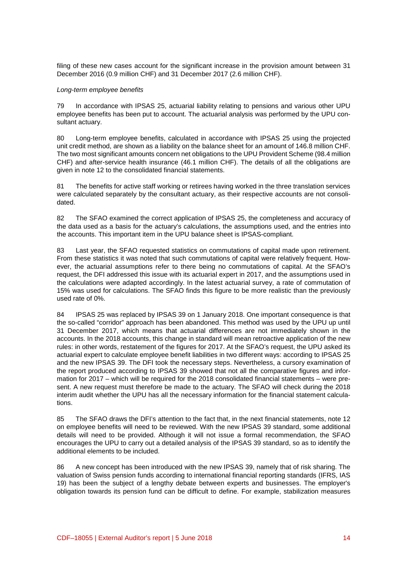filing of these new cases account for the significant increase in the provision amount between 31 December 2016 (0.9 million CHF) and 31 December 2017 (2.6 million CHF).

### *Long-term employee benefits*

79 In accordance with IPSAS 25, actuarial liability relating to pensions and various other UPU employee benefits has been put to account. The actuarial analysis was performed by the UPU consultant actuary.

80 Long-term employee benefits, calculated in accordance with IPSAS 25 using the projected unit credit method, are shown as a liability on the balance sheet for an amount of 146.8 million CHF. The two most significant amounts concern net obligations to the UPU Provident Scheme (98.4 million CHF) and after-service health insurance (46.1 million CHF). The details of all the obligations are given in note 12 to the consolidated financial statements.

81 The benefits for active staff working or retirees having worked in the three translation services were calculated separately by the consultant actuary, as their respective accounts are not consolidated.

82 The SFAO examined the correct application of IPSAS 25, the completeness and accuracy of the data used as a basis for the actuary's calculations, the assumptions used, and the entries into the accounts. This important item in the UPU balance sheet is IPSAS-compliant.

83 Last year, the SFAO requested statistics on commutations of capital made upon retirement. From these statistics it was noted that such commutations of capital were relatively frequent. However, the actuarial assumptions refer to there being no commutations of capital. At the SFAO's request, the DFI addressed this issue with its actuarial expert in 2017, and the assumptions used in the calculations were adapted accordingly. In the latest actuarial survey, a rate of commutation of 15% was used for calculations. The SFAO finds this figure to be more realistic than the previously used rate of 0%.

84 IPSAS 25 was replaced by IPSAS 39 on 1 January 2018. One important consequence is that the so-called "corridor" approach has been abandoned. This method was used by the UPU up until 31 December 2017, which means that actuarial differences are not immediately shown in the accounts. In the 2018 accounts, this change in standard will mean retroactive application of the new rules: in other words, restatement of the figures for 2017. At the SFAO's request, the UPU asked its actuarial expert to calculate employee benefit liabilities in two different ways: according to IPSAS 25 and the new IPSAS 39. The DFI took the necessary steps. Nevertheless, a cursory examination of the report produced according to IPSAS 39 showed that not all the comparative figures and information for 2017 – which will be required for the 2018 consolidated financial statements – were present. A new request must therefore be made to the actuary. The SFAO will check during the 2018 interim audit whether the UPU has all the necessary information for the financial statement calculations.

85 The SFAO draws the DFI's attention to the fact that, in the next financial statements, note 12 on employee benefits will need to be reviewed. With the new IPSAS 39 standard, some additional details will need to be provided. Although it will not issue a formal recommendation, the SFAO encourages the UPU to carry out a detailed analysis of the IPSAS 39 standard, so as to identify the additional elements to be included.

86 A new concept has been introduced with the new IPSAS 39, namely that of risk sharing. The valuation of Swiss pension funds according to international financial reporting standards (IFRS, IAS 19) has been the subject of a lengthy debate between experts and businesses. The employer's obligation towards its pension fund can be difficult to define. For example, stabilization measures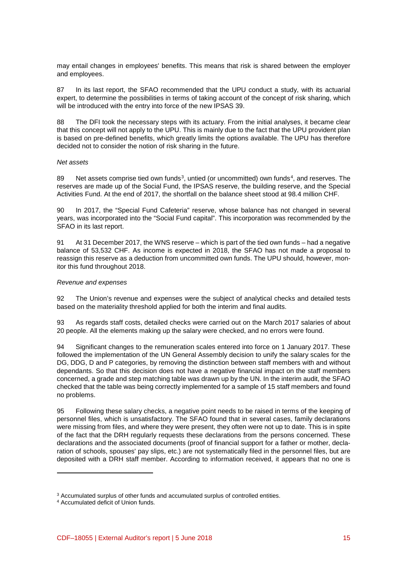may entail changes in employees' benefits. This means that risk is shared between the employer and employees.

87 In its last report, the SFAO recommended that the UPU conduct a study, with its actuarial expert, to determine the possibilities in terms of taking account of the concept of risk sharing, which will be introduced with the entry into force of the new IPSAS 39.

88 The DFI took the necessary steps with its actuary. From the initial analyses, it became clear that this concept will not apply to the UPU. This is mainly due to the fact that the UPU provident plan is based on pre-defined benefits, which greatly limits the options available. The UPU has therefore decided not to consider the notion of risk sharing in the future.

### *Net assets*

89 Net assets comprise tied own funds<sup>[3](#page-14-0)</sup>, untied (or uncommitted) own funds<sup>[4](#page-14-1)</sup>, and reserves. The reserves are made up of the Social Fund, the IPSAS reserve, the building reserve, and the Special Activities Fund. At the end of 2017, the shortfall on the balance sheet stood at 98.4 million CHF.

90 In 2017, the "Special Fund Cafeteria" reserve, whose balance has not changed in several years, was incorporated into the "Social Fund capital". This incorporation was recommended by the SFAO in its last report.

91 At 31 December 2017, the WNS reserve – which is part of the tied own funds – had a negative balance of 53,532 CHF. As income is expected in 2018, the SFAO has not made a proposal to reassign this reserve as a deduction from uncommitted own funds. The UPU should, however, monitor this fund throughout 2018.

# *Revenue and expenses*

92 The Union's revenue and expenses were the subject of analytical checks and detailed tests based on the materiality threshold applied for both the interim and final audits.

93 As regards staff costs, detailed checks were carried out on the March 2017 salaries of about 20 people. All the elements making up the salary were checked, and no errors were found.

94 Significant changes to the remuneration scales entered into force on 1 January 2017. These followed the implementation of the UN General Assembly decision to unify the salary scales for the DG, DDG, D and P categories, by removing the distinction between staff members with and without dependants. So that this decision does not have a negative financial impact on the staff members concerned, a grade and step matching table was drawn up by the UN. In the interim audit, the SFAO checked that the table was being correctly implemented for a sample of 15 staff members and found no problems.

95 Following these salary checks, a negative point needs to be raised in terms of the keeping of personnel files, which is unsatisfactory. The SFAO found that in several cases, family declarations were missing from files, and where they were present, they often were not up to date. This is in spite of the fact that the DRH regularly requests these declarations from the persons concerned. These declarations and the associated documents (proof of financial support for a father or mother, declaration of schools, spouses' pay slips, etc.) are not systematically filed in the personnel files, but are deposited with a DRH staff member. According to information received, it appears that no one is

1

<span id="page-14-0"></span><sup>&</sup>lt;sup>3</sup> Accumulated surplus of other funds and accumulated surplus of controlled entities.

<span id="page-14-1"></span><sup>4</sup> Accumulated deficit of Union funds.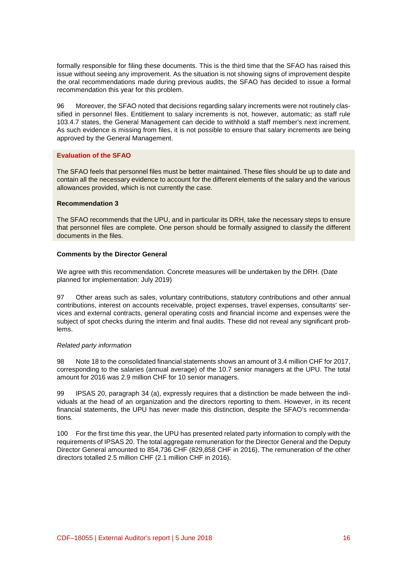formally responsible for filing these documents. This is the third time that the SFAO has raised this issue without seeing any improvement. As the situation is not showing signs of improvement despite the oral recommendations made during previous audits, the SFAO has decided to issue a formal recommendation this year for this problem.

96 Moreover, the SFAO noted that decisions regarding salary increments were not routinely classified in personnel files. Entitlement to salary increments is not, however, automatic; as staff rule 103.4.7 states, the General Management can decide to withhold a staff member's next increment. As such evidence is missing from files, it is not possible to ensure that salary increments are being approved by the General Management.

# **Evaluation of the SFAO**

The SFAO feels that personnel files must be better maintained. These files should be up to date and contain all the necessary evidence to account for the different elements of the salary and the various allowances provided, which is not currently the case.

# **Recommendation 3**

The SFAO recommends that the UPU, and in particular its DRH, take the necessary steps to ensure that personnel files are complete. One person should be formally assigned to classify the different documents in the files.

# **Comments by the Director General**

We agree with this recommendation. Concrete measures will be undertaken by the DRH. (Date planned for implementation: July 2019)

97 Other areas such as sales, voluntary contributions, statutory contributions and other annual contributions, interest on accounts receivable, project expenses, travel expenses, consultants' services and external contracts, general operating costs and financial income and expenses were the subject of spot checks during the interim and final audits. These did not reveal any significant problems.

# *Related party information*

98 Note 18 to the consolidated financial statements shows an amount of 3.4 million CHF for 2017, corresponding to the salaries (annual average) of the 10.7 senior managers at the UPU. The total amount for 2016 was 2.9 million CHF for 10 senior managers.

99 IPSAS 20, paragraph 34 (a), expressly requires that a distinction be made between the individuals at the head of an organization and the directors reporting to them. However, in its recent financial statements, the UPU has never made this distinction, despite the SFAO's recommendations.

100 For the first time this year, the UPU has presented related party information to comply with the requirements of IPSAS 20. The total aggregate remuneration for the Director General and the Deputy Director General amounted to 854,736 CHF (829,858 CHF in 2016). The remuneration of the other directors totalled 2.5 million CHF (2.1 million CHF in 2016).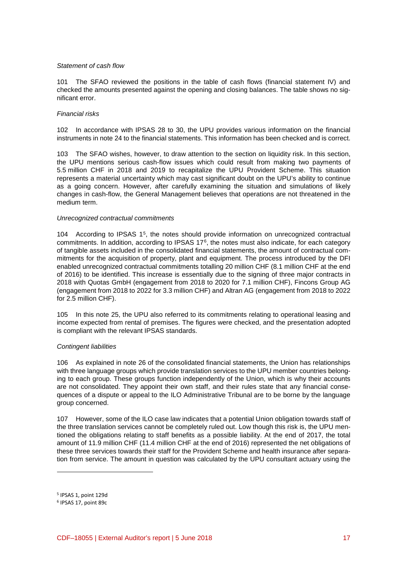## *Statement of cash flow*

101 The SFAO reviewed the positions in the table of cash flows (financial statement IV) and checked the amounts presented against the opening and closing balances. The table shows no significant error.

# *Financial risks*

102 In accordance with IPSAS 28 to 30, the UPU provides various information on the financial instruments in note 24 to the financial statements. This information has been checked and is correct.

103 The SFAO wishes, however, to draw attention to the section on liquidity risk. In this section, the UPU mentions serious cash-flow issues which could result from making two payments of 5.5 million CHF in 2018 and 2019 to recapitalize the UPU Provident Scheme. This situation represents a material uncertainty which may cast significant doubt on the UPU's ability to continue as a going concern. However, after carefully examining the situation and simulations of likely changes in cash-flow, the General Management believes that operations are not threatened in the medium term.

# *Unrecognized contractual commitments*

104 According to IPSAS 1[5,](#page-16-0) the notes should provide information on unrecognized contractual commitments. In addition, according to IPSAS 17[6](#page-16-1), the notes must also indicate, for each category of tangible assets included in the consolidated financial statements, the amount of contractual commitments for the acquisition of property, plant and equipment. The process introduced by the DFI enabled unrecognized contractual commitments totalling 20 million CHF (8.1 million CHF at the end of 2016) to be identified. This increase is essentially due to the signing of three major contracts in 2018 with Quotas GmbH (engagement from 2018 to 2020 for 7.1 million CHF), Fincons Group AG (engagement from 2018 to 2022 for 3.3 million CHF) and Altran AG (engagement from 2018 to 2022 for 2.5 million CHF).

105 In this note 25, the UPU also referred to its commitments relating to operational leasing and income expected from rental of premises. The figures were checked, and the presentation adopted is compliant with the relevant IPSAS standards.

### *Contingent liabilities*

106 As explained in note 26 of the consolidated financial statements, the Union has relationships with three language groups which provide translation services to the UPU member countries belonging to each group. These groups function independently of the Union, which is why their accounts are not consolidated. They appoint their own staff, and their rules state that any financial consequences of a dispute or appeal to the ILO Administrative Tribunal are to be borne by the language group concerned.

107 However, some of the ILO case law indicates that a potential Union obligation towards staff of the three translation services cannot be completely ruled out. Low though this risk is, the UPU mentioned the obligations relating to staff benefits as a possible liability. At the end of 2017, the total amount of 11.9 million CHF (11.4 million CHF at the end of 2016) represented the net obligations of these three services towards their staff for the Provident Scheme and health insurance after separation from service. The amount in question was calculated by the UPU consultant actuary using the

1

<span id="page-16-0"></span><sup>5</sup> IPSAS 1, point 129d

<span id="page-16-1"></span><sup>6</sup> IPSAS 17, point 89c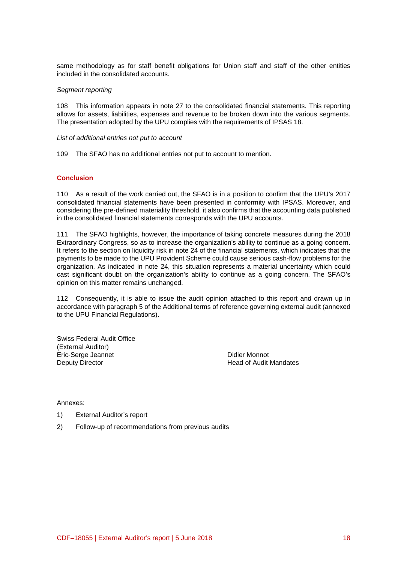same methodology as for staff benefit obligations for Union staff and staff of the other entities included in the consolidated accounts.

## *Segment reporting*

108 This information appears in note 27 to the consolidated financial statements. This reporting allows for assets, liabilities, expenses and revenue to be broken down into the various segments. The presentation adopted by the UPU complies with the requirements of IPSAS 18.

#### *List of additional entries not put to account*

109 The SFAO has no additional entries not put to account to mention.

### **Conclusion**

110 As a result of the work carried out, the SFAO is in a position to confirm that the UPU's 2017 consolidated financial statements have been presented in conformity with IPSAS. Moreover, and considering the pre-defined materiality threshold, it also confirms that the accounting data published in the consolidated financial statements corresponds with the UPU accounts.

111 The SFAO highlights, however, the importance of taking concrete measures during the 2018 Extraordinary Congress, so as to increase the organization's ability to continue as a going concern. It refers to the section on liquidity risk in note 24 of the financial statements, which indicates that the payments to be made to the UPU Provident Scheme could cause serious cash-flow problems for the organization. As indicated in note 24, this situation represents a material uncertainty which could cast significant doubt on the organization's ability to continue as a going concern. The SFAO's opinion on this matter remains unchanged.

112 Consequently, it is able to issue the audit opinion attached to this report and drawn up in accordance with paragraph 5 of the Additional terms of reference governing external audit (annexed to the UPU Financial Regulations).

Swiss Federal Audit Office (External Auditor) Eric-Serge Jeannet **Didier Monnot**<br>
Didier Monnot<br>
Deputy Director **Connoct Connoct Changes**<br>
Didier Monnot

Head of Audit Mandates

Annexes:

- 1) External Auditor's report
- 2) Follow-up of recommendations from previous audits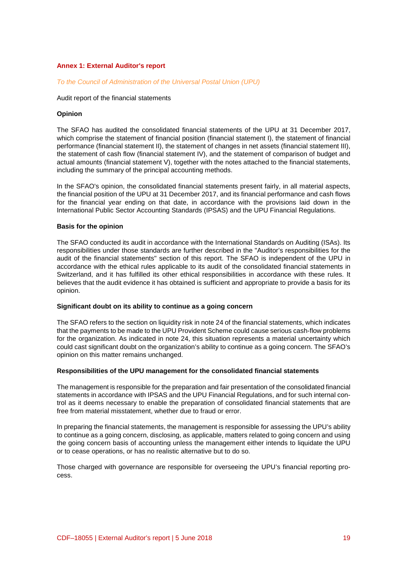# **Annex 1: External Auditor's report**

#### *To the Council of Administration of the Universal Postal Union (UPU)*

#### Audit report of the financial statements

#### **Opinion**

The SFAO has audited the consolidated financial statements of the UPU at 31 December 2017, which comprise the statement of financial position (financial statement I), the statement of financial performance (financial statement II), the statement of changes in net assets (financial statement III), the statement of cash flow (financial statement IV), and the statement of comparison of budget and actual amounts (financial statement V), together with the notes attached to the financial statements, including the summary of the principal accounting methods.

In the SFAO's opinion, the consolidated financial statements present fairly, in all material aspects, the financial position of the UPU at 31 December 2017, and its financial performance and cash flows for the financial year ending on that date, in accordance with the provisions laid down in the International Public Sector Accounting Standards (IPSAS) and the UPU Financial Regulations.

#### **Basis for the opinion**

The SFAO conducted its audit in accordance with the International Standards on Auditing (ISAs). Its responsibilities under those standards are further described in the "Auditor's responsibilities for the audit of the financial statements" section of this report. The SFAO is independent of the UPU in accordance with the ethical rules applicable to its audit of the consolidated financial statements in Switzerland, and it has fulfilled its other ethical responsibilities in accordance with these rules. It believes that the audit evidence it has obtained is sufficient and appropriate to provide a basis for its opinion.

#### **Significant doubt on its ability to continue as a going concern**

The SFAO refers to the section on liquidity risk in note 24 of the financial statements, which indicates that the payments to be made to the UPU Provident Scheme could cause serious cash-flow problems for the organization. As indicated in note 24, this situation represents a material uncertainty which could cast significant doubt on the organization's ability to continue as a going concern. The SFAO's opinion on this matter remains unchanged.

## **Responsibilities of the UPU management for the consolidated financial statements**

The management is responsible for the preparation and fair presentation of the consolidated financial statements in accordance with IPSAS and the UPU Financial Regulations, and for such internal control as it deems necessary to enable the preparation of consolidated financial statements that are free from material misstatement, whether due to fraud or error.

In preparing the financial statements, the management is responsible for assessing the UPU's ability to continue as a going concern, disclosing, as applicable, matters related to going concern and using the going concern basis of accounting unless the management either intends to liquidate the UPU or to cease operations, or has no realistic alternative but to do so.

Those charged with governance are responsible for overseeing the UPU's financial reporting process.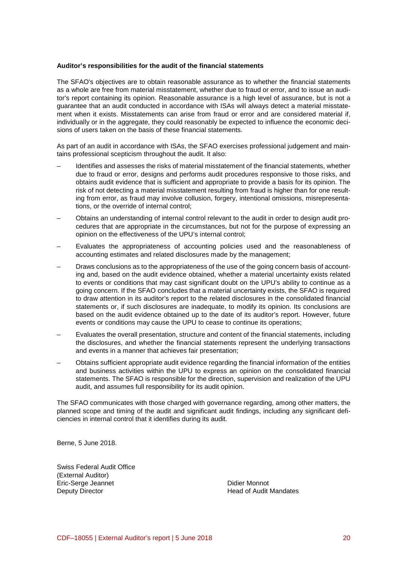## **Auditor's responsibilities for the audit of the financial statements**

The SFAO's objectives are to obtain reasonable assurance as to whether the financial statements as a whole are free from material misstatement, whether due to fraud or error, and to issue an auditor's report containing its opinion. Reasonable assurance is a high level of assurance, but is not a guarantee that an audit conducted in accordance with ISAs will always detect a material misstatement when it exists. Misstatements can arise from fraud or error and are considered material if, individually or in the aggregate, they could reasonably be expected to influence the economic decisions of users taken on the basis of these financial statements.

As part of an audit in accordance with ISAs, the SFAO exercises professional judgement and maintains professional scepticism throughout the audit. It also:

- Identifies and assesses the risks of material misstatement of the financial statements, whether due to fraud or error, designs and performs audit procedures responsive to those risks, and obtains audit evidence that is sufficient and appropriate to provide a basis for its opinion. The risk of not detecting a material misstatement resulting from fraud is higher than for one resulting from error, as fraud may involve collusion, forgery, intentional omissions, misrepresentations, or the override of internal control;
- Obtains an understanding of internal control relevant to the audit in order to design audit procedures that are appropriate in the circumstances, but not for the purpose of expressing an opinion on the effectiveness of the UPU's internal control;
- Evaluates the appropriateness of accounting policies used and the reasonableness of accounting estimates and related disclosures made by the management;
- Draws conclusions as to the appropriateness of the use of the going concern basis of accounting and, based on the audit evidence obtained, whether a material uncertainty exists related to events or conditions that may cast significant doubt on the UPU's ability to continue as a going concern. If the SFAO concludes that a material uncertainty exists, the SFAO is required to draw attention in its auditor's report to the related disclosures in the consolidated financial statements or, if such disclosures are inadequate, to modify its opinion. Its conclusions are based on the audit evidence obtained up to the date of its auditor's report. However, future events or conditions may cause the UPU to cease to continue its operations;
- Evaluates the overall presentation, structure and content of the financial statements, including the disclosures, and whether the financial statements represent the underlying transactions and events in a manner that achieves fair presentation;
- Obtains sufficient appropriate audit evidence regarding the financial information of the entities and business activities within the UPU to express an opinion on the consolidated financial statements. The SFAO is responsible for the direction, supervision and realization of the UPU audit, and assumes full responsibility for its audit opinion.

The SFAO communicates with those charged with governance regarding, among other matters, the planned scope and timing of the audit and significant audit findings, including any significant deficiencies in internal control that it identifies during its audit.

Berne, 5 June 2018.

Swiss Federal Audit Office (External Auditor) Eric-Serge Jeannet **Didier Monnot Deputy Director Manual Accord Control of Audit Mandates Head of Audit Mandates**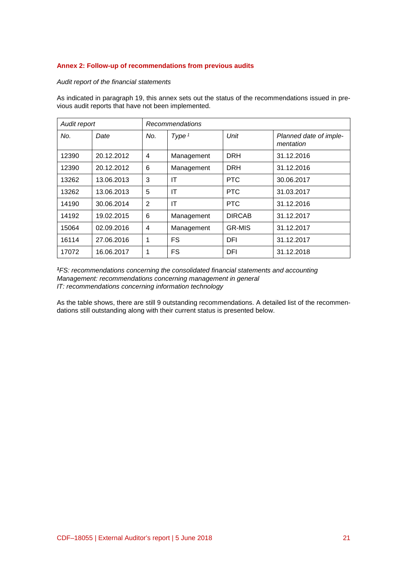# **Annex 2: Follow-up of recommendations from previous audits**

## *Audit report of the financial statements*

As indicated in paragraph 19, this annex sets out the status of the recommendations issued in previous audit reports that have not been implemented.

| Audit report | <b>Recommendations</b> |                |                   |               |                                     |
|--------------|------------------------|----------------|-------------------|---------------|-------------------------------------|
| No.          | Date                   | No.            | Type <sup>1</sup> | Unit          | Planned date of imple-<br>mentation |
| 12390        | 20.12.2012             | $\overline{4}$ | Management        | <b>DRH</b>    | 31.12.2016                          |
| 12390        | 20.12.2012             | 6              | Management        | <b>DRH</b>    | 31.12.2016                          |
| 13262        | 13.06.2013             | 3              | ΙT                | <b>PTC</b>    | 30.06.2017                          |
| 13262        | 13.06.2013             | 5              | IT                | <b>PTC</b>    | 31.03.2017                          |
| 14190        | 30.06.2014             | 2              | IT                | PTC.          | 31.12.2016                          |
| 14192        | 19.02.2015             | 6              | Management        | <b>DIRCAB</b> | 31.12.2017                          |
| 15064        | 02.09.2016             | $\overline{4}$ | Management        | <b>GR-MIS</b> | 31.12.2017                          |
| 16114        | 27.06.2016             | 1              | FS                | DFI           | 31.12.2017                          |
| 17072        | 16.06.2017             | 1              | <b>FS</b>         | DFI           | 31.12.2018                          |

*<sup>1</sup>FS: recommendations concerning the consolidated financial statements and accounting Management: recommendations concerning management in general IT: recommendations concerning information technology*

As the table shows, there are still 9 outstanding recommendations. A detailed list of the recommendations still outstanding along with their current status is presented below.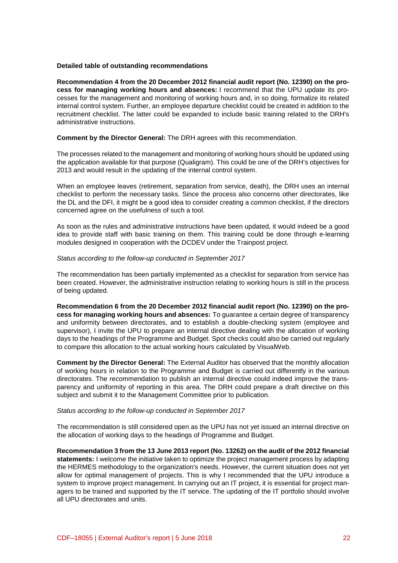#### **Detailed table of outstanding recommendations**

**Recommendation 4 from the 20 December 2012 financial audit report (No. 12390) on the process for managing working hours and absences:** I recommend that the UPU update its processes for the management and monitoring of working hours and, in so doing, formalize its related internal control system. Further, an employee departure checklist could be created in addition to the recruitment checklist. The latter could be expanded to include basic training related to the DRH's administrative instructions.

#### **Comment by the Director General:** The DRH agrees with this recommendation.

The processes related to the management and monitoring of working hours should be updated using the application available for that purpose (Qualigram). This could be one of the DRH's objectives for 2013 and would result in the updating of the internal control system.

When an employee leaves (retirement, separation from service, death), the DRH uses an internal checklist to perform the necessary tasks. Since the process also concerns other directorates, like the DL and the DFI, it might be a good idea to consider creating a common checklist, if the directors concerned agree on the usefulness of such a tool.

As soon as the rules and administrative instructions have been updated, it would indeed be a good idea to provide staff with basic training on them. This training could be done through e-learning modules designed in cooperation with the DCDEV under the Trainpost project.

#### *Status according to the follow-up conducted in September 2017*

The recommendation has been partially implemented as a checklist for separation from service has been created. However, the administrative instruction relating to working hours is still in the process of being updated.

**Recommendation 6 from the 20 December 2012 financial audit report (No. 12390) on the process for managing working hours and absences:** To guarantee a certain degree of transparency and uniformity between directorates, and to establish a double-checking system (employee and supervisor), I invite the UPU to prepare an internal directive dealing with the allocation of working days to the headings of the Programme and Budget. Spot checks could also be carried out regularly to compare this allocation to the actual working hours calculated by VisualWeb.

**Comment by the Director General:** The External Auditor has observed that the monthly allocation of working hours in relation to the Programme and Budget is carried out differently in the various directorates. The recommendation to publish an internal directive could indeed improve the transparency and uniformity of reporting in this area. The DRH could prepare a draft directive on this subject and submit it to the Management Committee prior to publication.

# *Status according to the follow-up conducted in September 2017*

The recommendation is still considered open as the UPU has not yet issued an internal directive on the allocation of working days to the headings of Programme and Budget.

**Recommendation 3 from the 13 June 2013 report (No. 13262) on the audit of the 2012 financial statements:** I welcome the initiative taken to optimize the project management process by adapting the HERMES methodology to the organization's needs. However, the current situation does not yet allow for optimal management of projects. This is why I recommended that the UPU introduce a system to improve project management. In carrying out an IT project, it is essential for project managers to be trained and supported by the IT service. The updating of the IT portfolio should involve all UPU directorates and units.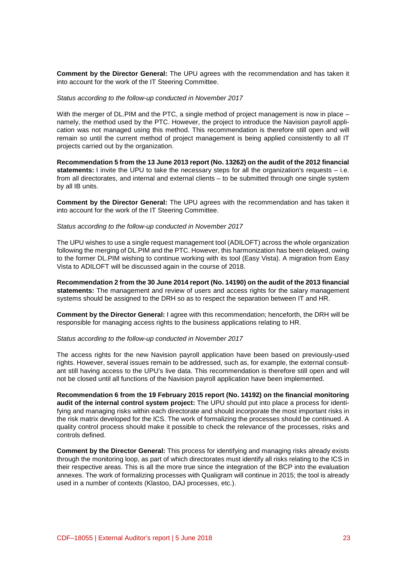**Comment by the Director General:** The UPU agrees with the recommendation and has taken it into account for the work of the IT Steering Committee.

#### *Status according to the follow-up conducted in November 2017*

With the merger of DL.PIM and the PTC, a single method of project management is now in place – namely, the method used by the PTC. However, the project to introduce the Navision payroll application was not managed using this method. This recommendation is therefore still open and will remain so until the current method of project management is being applied consistently to all IT projects carried out by the organization.

**Recommendation 5 from the 13 June 2013 report (No. 13262) on the audit of the 2012 financial statements:** I invite the UPU to take the necessary steps for all the organization's requests – i.e. from all directorates, and internal and external clients – to be submitted through one single system by all IB units.

**Comment by the Director General:** The UPU agrees with the recommendation and has taken it into account for the work of the IT Steering Committee.

#### *Status according to the follow-up conducted in November 2017*

The UPU wishes to use a single request management tool (ADILOFT) across the whole organization following the merging of DL.PIM and the PTC. However, this harmonization has been delayed, owing to the former DL.PIM wishing to continue working with its tool (Easy Vista). A migration from Easy Vista to ADILOFT will be discussed again in the course of 2018.

**Recommendation 2 from the 30 June 2014 report (No. 14190) on the audit of the 2013 financial statements:** The management and review of users and access rights for the salary management systems should be assigned to the DRH so as to respect the separation between IT and HR.

**Comment by the Director General:** I agree with this recommendation; henceforth, the DRH will be responsible for managing access rights to the business applications relating to HR.

#### *Status according to the follow-up conducted in November 2017*

The access rights for the new Navision payroll application have been based on previously-used rights. However, several issues remain to be addressed, such as, for example, the external consultant still having access to the UPU's live data. This recommendation is therefore still open and will not be closed until all functions of the Navision payroll application have been implemented.

**Recommendation 6 from the 19 February 2015 report (No. 14192) on the financial monitoring audit of the internal control system project:** The UPU should put into place a process for identifying and managing risks within each directorate and should incorporate the most important risks in the risk matrix developed for the ICS. The work of formalizing the processes should be continued. A quality control process should make it possible to check the relevance of the processes, risks and controls defined.

**Comment by the Director General:** This process for identifying and managing risks already exists through the monitoring loop, as part of which directorates must identify all risks relating to the ICS in their respective areas. This is all the more true since the integration of the BCP into the evaluation annexes. The work of formalizing processes with Qualigram will continue in 2015; the tool is already used in a number of contexts (Klastoo, DAJ processes, etc.).